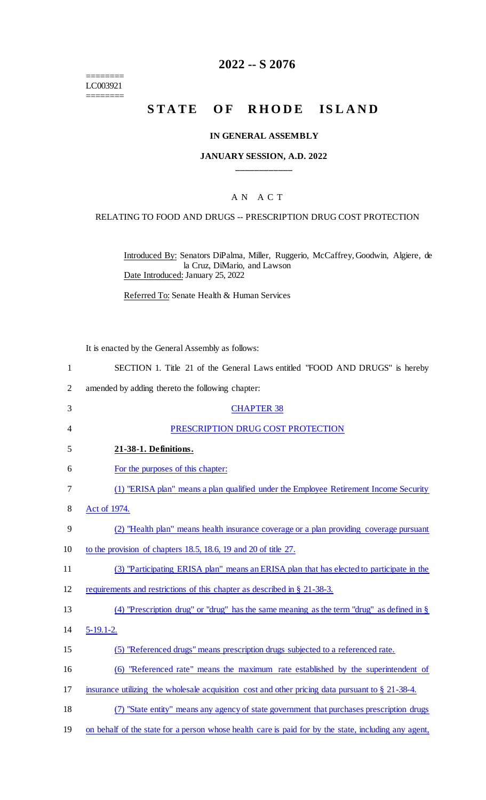$=$ LC003921 ========

# **2022 -- S 2076**

# **STATE OF RHODE ISLAND**

## **IN GENERAL ASSEMBLY**

## **JANUARY SESSION, A.D. 2022 \_\_\_\_\_\_\_\_\_\_\_\_**

## A N A C T

#### RELATING TO FOOD AND DRUGS -- PRESCRIPTION DRUG COST PROTECTION

Introduced By: Senators DiPalma, Miller, Ruggerio, McCaffrey, Goodwin, Algiere, de la Cruz, DiMario, and Lawson Date Introduced: January 25, 2022

Referred To: Senate Health & Human Services

It is enacted by the General Assembly as follows:

- 1 SECTION 1. Title 21 of the General Laws entitled "FOOD AND DRUGS" is hereby
- 2 amended by adding thereto the following chapter:

| 3  | <b>CHAPTER 38</b>                                                                                   |
|----|-----------------------------------------------------------------------------------------------------|
| 4  | PRESCRIPTION DRUG COST PROTECTION                                                                   |
| 5  | 21-38-1. Definitions.                                                                               |
| 6  | For the purposes of this chapter:                                                                   |
| 7  | (1) "ERISA plan" means a plan qualified under the Employee Retirement Income Security               |
| 8  | Act of 1974.                                                                                        |
| 9  | (2) "Health plan" means health insurance coverage or a plan providing coverage pursuant             |
| 10 | to the provision of chapters 18.5, 18.6, 19 and 20 of title 27.                                     |
| 11 | (3) "Participating ERISA plan" means an ERISA plan that has elected to participate in the           |
| 12 | requirements and restrictions of this chapter as described in § 21-38-3.                            |
| 13 | (4) "Prescription drug" or "drug" has the same meaning as the term "drug" as defined in $\S$        |
| 14 | $5-19.1-2.$                                                                                         |
| 15 | (5) "Referenced drugs" means prescription drugs subjected to a referenced rate.                     |
| 16 | "Referenced rate" means the maximum rate established by the superintendent of<br>(6)                |
| 17 | insurance utilizing the wholesale acquisition cost and other pricing data pursuant to $\S$ 21-38-4. |
| 18 | "State entity" means any agency of state government that purchases prescription drugs               |
|    |                                                                                                     |

19 on behalf of the state for a person whose health care is paid for by the state, including any agent,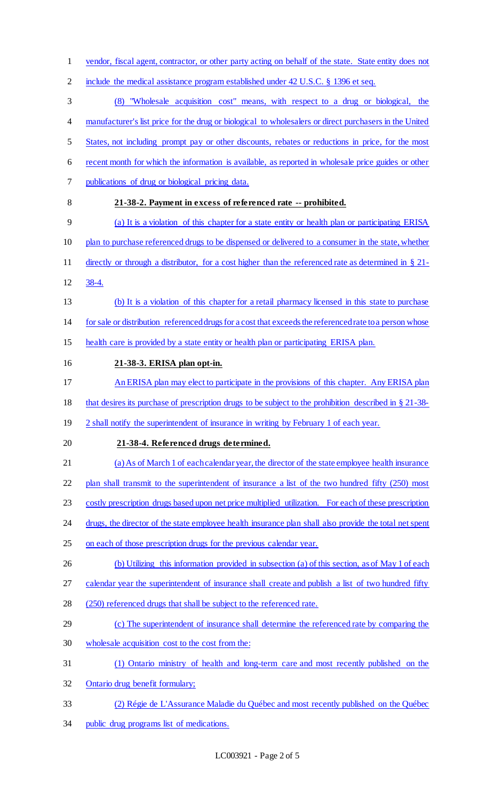vendor, fiscal agent, contractor, or other party acting on behalf of the state. State entity does not include the medical assistance program established under 42 U.S.C. § 1396 et seq. (8) "Wholesale acquisition cost" means, with respect to a drug or biological, the manufacturer's list price for the drug or biological to wholesalers or direct purchasers in the United States, not including prompt pay or other discounts, rebates or reductions in price, for the most recent month for which the information is available, as reported in wholesale price guides or other publications of drug or biological pricing data. **21-38-2. Payment in excess of referenced rate -- prohibited.** (a) It is a violation of this chapter for a state entity or health plan or participating ERISA plan to purchase referenced drugs to be dispensed or delivered to a consumer in the state, whether directly or through a distributor, for a cost higher than the referenced rate as determined in § 21- 38-4. (b) It is a violation of this chapter for a retail pharmacy licensed in this state to purchase for sale or distribution referenced drugs for a cost that exceeds the referenced rate to a person whose health care is provided by a state entity or health plan or participating ERISA plan. **21-38-3. ERISA plan opt-in.** An ERISA plan may elect to participate in the provisions of this chapter. Any ERISA plan that desires its purchase of prescription drugs to be subject to the prohibition described in § 21-38- 19 2 shall notify the superintendent of insurance in writing by February 1 of each year. **21-38-4. Referenced drugs determined.** (a) As of March 1 of each calendar year, the director of the state employee health insurance 22 plan shall transmit to the superintendent of insurance a list of the two hundred fifty (250) most costly prescription drugs based upon net price multiplied utilization. For each of these prescription 24 drugs, the director of the state employee health insurance plan shall also provide the total net spent on each of those prescription drugs for the previous calendar year. 26 (b) Utilizing this information provided in subsection (a) of this section, as of May 1 of each calendar year the superintendent of insurance shall create and publish a list of two hundred fifty (250) referenced drugs that shall be subject to the referenced rate. (c) The superintendent of insurance shall determine the referenced rate by comparing the wholesale acquisition cost to the cost from the: (1) Ontario ministry of health and long-term care and most recently published on the Ontario drug benefit formulary; (2) Régie de L'Assurance Maladie du Québec and most recently published on the Québec public drug programs list of medications.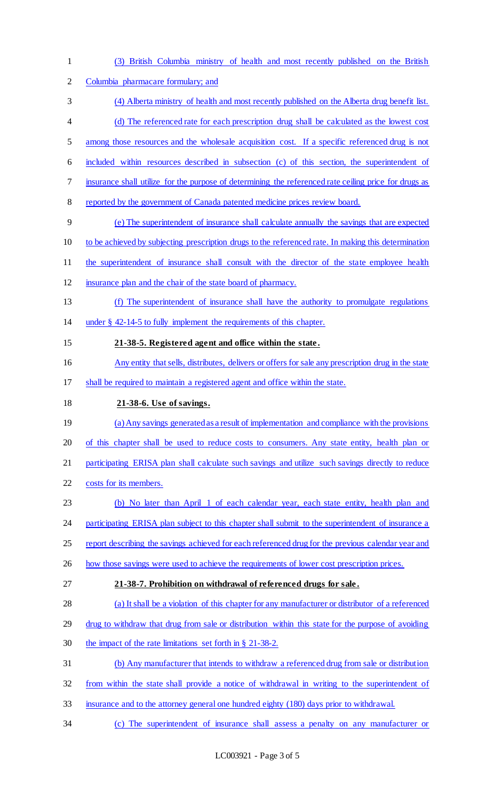(3) British Columbia ministry of health and most recently published on the British Columbia pharmacare formulary; and (4) Alberta ministry of health and most recently published on the Alberta drug benefit list. (d) The referenced rate for each prescription drug shall be calculated as the lowest cost among those resources and the wholesale acquisition cost. If a specific referenced drug is not included within resources described in subsection (c) of this section, the superintendent of insurance shall utilize for the purpose of determining the referenced rate ceiling price for drugs as reported by the government of Canada patented medicine prices review board. (e) The superintendent of insurance shall calculate annually the savings that are expected to be achieved by subjecting prescription drugs to the referenced rate. In making this determination 11 the superintendent of insurance shall consult with the director of the state employee health insurance plan and the chair of the state board of pharmacy. (f) The superintendent of insurance shall have the authority to promulgate regulations under § 42-14-5 to fully implement the requirements of this chapter. **21-38-5. Registered agent and office within the state .** 16 Any entity that sells, distributes, delivers or offers for sale any prescription drug in the state shall be required to maintain a registered agent and office within the state. **21-38-6. Use of savings.** (a) Any savings generated as a result of implementation and compliance with the provisions 20 of this chapter shall be used to reduce costs to consumers. Any state entity, health plan or 21 participating ERISA plan shall calculate such savings and utilize such savings directly to reduce costs for its members. (b) No later than April 1 of each calendar year, each state entity, health plan and 24 participating ERISA plan subject to this chapter shall submit to the superintendent of insurance a 25 report describing the savings achieved for each referenced drug for the previous calendar year and how those savings were used to achieve the requirements of lower cost prescription prices. **21-38-7. Prohibition on withdrawal of referenced drugs for sale .** (a) It shall be a violation of this chapter for any manufacturer or distributor of a referenced 29 drug to withdraw that drug from sale or distribution within this state for the purpose of avoiding the impact of the rate limitations set forth in § 21-38-2. (b) Any manufacturer that intends to withdraw a referenced drug from sale or distribution from within the state shall provide a notice of withdrawal in writing to the superintendent of insurance and to the attorney general one hundred eighty (180) days prior to withdrawal. (c) The superintendent of insurance shall assess a penalty on any manufacturer or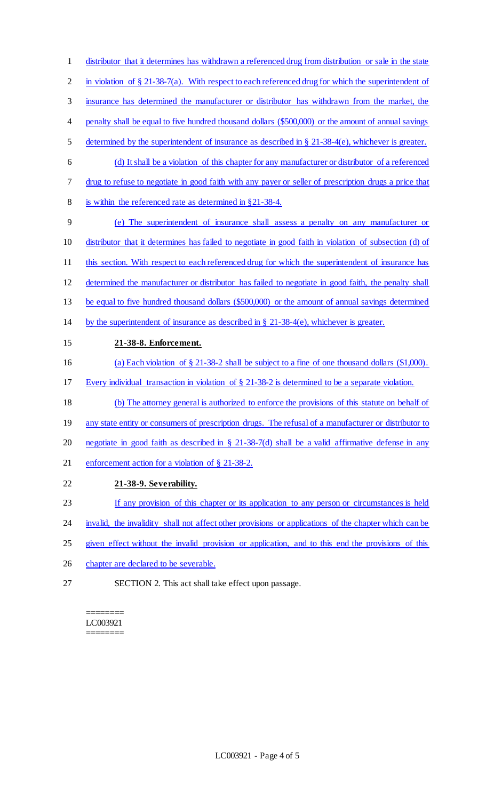distributor that it determines has withdrawn a referenced drug from distribution or sale in the state 2 in violation of § 21-38-7(a). With respect to each referenced drug for which the superintendent of insurance has determined the manufacturer or distributor has withdrawn from the market, the penalty shall be equal to five hundred thousand dollars (\$500,000) or the amount of annual savings determined by the superintendent of insurance as described in § 21-38-4(e), whichever is greater. (d) It shall be a violation of this chapter for any manufacturer or distributor of a referenced drug to refuse to negotiate in good faith with any payer or seller of prescription drugs a price that is within the referenced rate as determined in §21-38-4. (e) The superintendent of insurance shall assess a penalty on any manufacturer or distributor that it determines has failed to negotiate in good faith in violation of subsection (d) of 11 this section. With respect to each referenced drug for which the superintendent of insurance has determined the manufacturer or distributor has failed to negotiate in good faith, the penalty shall be equal to five hundred thousand dollars (\$500,000) or the amount of annual savings determined 14 by the superintendent of insurance as described in  $\S$  21-38-4(e), whichever is greater. **21-38-8. Enforcement.** (a) Each violation of § 21-38-2 shall be subject to a fine of one thousand dollars (\$1,000). Every individual transaction in violation of § 21-38-2 is determined to be a separate violation. (b) The attorney general is authorized to enforce the provisions of this statute on behalf of 19 any state entity or consumers of prescription drugs. The refusal of a manufacturer or distributor to negotiate in good faith as described in § 21-38-7(d) shall be a valid affirmative defense in any enforcement action for a violation of § 21-38-2. **21-38-9. Severability.** If any provision of this chapter or its application to any person or circumstances is held 24 invalid, the invalidity shall not affect other provisions or applications of the chapter which can be

- given effect without the invalid provision or application, and to this end the provisions of this
- chapter are declared to be severable.
- SECTION 2. This act shall take effect upon passage.

======== LC003921 ========